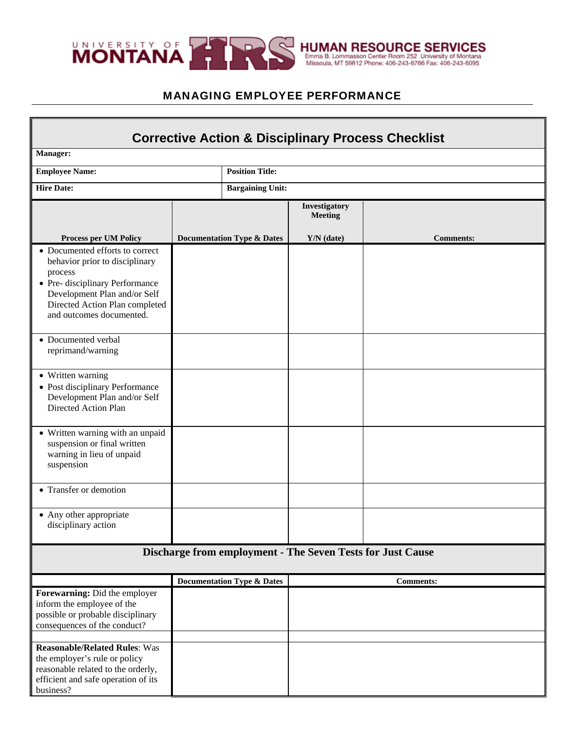

ī

## MANAGING EMPLOYEE PERFORMANCE

| <b>Corrective Action &amp; Disciplinary Process Checklist</b>                                                                                                                                                 |  |                                       |                                 |                  |  |  |
|---------------------------------------------------------------------------------------------------------------------------------------------------------------------------------------------------------------|--|---------------------------------------|---------------------------------|------------------|--|--|
| Manager:                                                                                                                                                                                                      |  |                                       |                                 |                  |  |  |
| <b>Employee Name:</b>                                                                                                                                                                                         |  | <b>Position Title:</b>                |                                 |                  |  |  |
| <b>Hire Date:</b>                                                                                                                                                                                             |  | <b>Bargaining Unit:</b>               |                                 |                  |  |  |
|                                                                                                                                                                                                               |  |                                       | Investigatory<br><b>Meeting</b> |                  |  |  |
| Process per UM Policy                                                                                                                                                                                         |  | <b>Documentation Type &amp; Dates</b> | Y/N (date)                      | <b>Comments:</b> |  |  |
| • Documented efforts to correct<br>behavior prior to disciplinary<br>process<br>• Pre- disciplinary Performance<br>Development Plan and/or Self<br>Directed Action Plan completed<br>and outcomes documented. |  |                                       |                                 |                  |  |  |
| • Documented verbal<br>reprimand/warning                                                                                                                                                                      |  |                                       |                                 |                  |  |  |
| • Written warning<br>• Post disciplinary Performance<br>Development Plan and/or Self<br>Directed Action Plan                                                                                                  |  |                                       |                                 |                  |  |  |
| • Written warning with an unpaid<br>suspension or final written<br>warning in lieu of unpaid<br>suspension                                                                                                    |  |                                       |                                 |                  |  |  |
| • Transfer or demotion                                                                                                                                                                                        |  |                                       |                                 |                  |  |  |
| • Any other appropriate<br>disciplinary action                                                                                                                                                                |  |                                       |                                 |                  |  |  |
| Discharge from employment - The Seven Tests for Just Cause                                                                                                                                                    |  |                                       |                                 |                  |  |  |
|                                                                                                                                                                                                               |  | <b>Documentation Type &amp; Dates</b> |                                 | <b>Comments:</b> |  |  |
| Forewarning: Did the employer<br>inform the employee of the<br>possible or probable disciplinary<br>consequences of the conduct?                                                                              |  |                                       |                                 |                  |  |  |
| <b>Reasonable/Related Rules: Was</b><br>the employer's rule or policy<br>reasonable related to the orderly,<br>efficient and safe operation of its<br>business?                                               |  |                                       |                                 |                  |  |  |